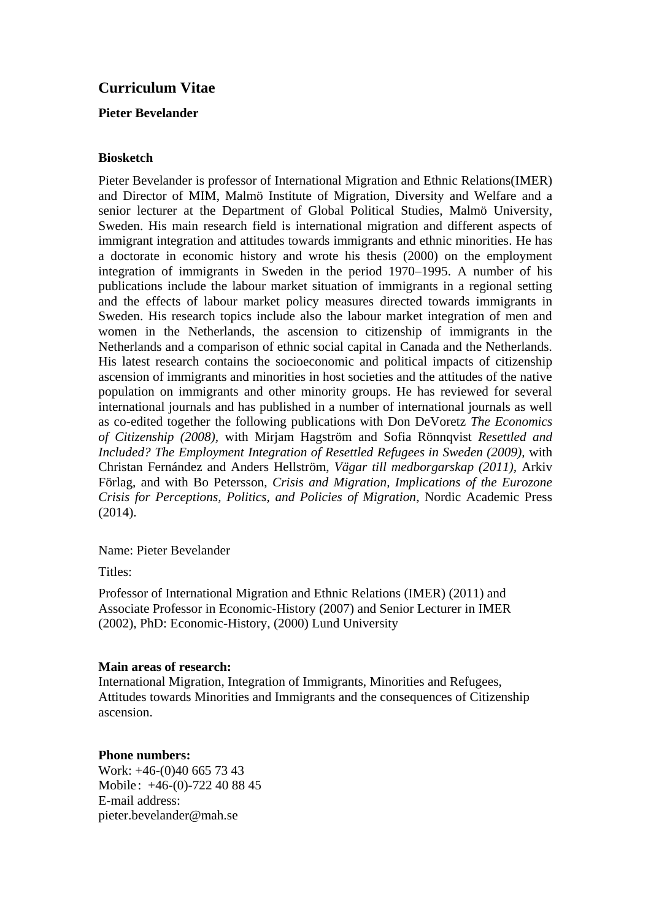# **Curriculum Vitae**

# **Pieter Bevelander**

### **Biosketch**

Pieter Bevelander is professor of International Migration and Ethnic Relations(IMER) and Director of MIM, Malmö Institute of Migration, Diversity and Welfare and a senior lecturer at the Department of Global Political Studies, Malmö University, Sweden. His main research field is international migration and different aspects of immigrant integration and attitudes towards immigrants and ethnic minorities. He has a doctorate in economic history and wrote his thesis (2000) on the employment integration of immigrants in Sweden in the period 1970–1995. A number of his publications include the labour market situation of immigrants in a regional setting and the effects of labour market policy measures directed towards immigrants in Sweden. His research topics include also the labour market integration of men and women in the Netherlands, the ascension to citizenship of immigrants in the Netherlands and a comparison of ethnic social capital in Canada and the Netherlands. His latest research contains the socioeconomic and political impacts of citizenship ascension of immigrants and minorities in host societies and the attitudes of the native population on immigrants and other minority groups. He has reviewed for several international journals and has published in a number of international journals as well as co-edited together the following publications with Don DeVoretz *The Economics of Citizenship (2008),* with Mirjam Hagström and Sofia Rönnqvist *Resettled and Included? The Employment Integration of Resettled Refugees in Sweden (2009),* with Christan Fernández and Anders Hellström, *Vägar till medborgarskap (2011),* Arkiv Förlag, and with Bo Petersson, *Crisis and Migration, Implications of the Eurozone Crisis for Perceptions, Politics, and Policies of Migration*, Nordic Academic Press (2014).

### Name: Pieter Bevelander

Titles:

Professor of International Migration and Ethnic Relations (IMER) (2011) and Associate Professor in Economic-History (2007) and Senior Lecturer in IMER (2002), PhD: Economic-History, (2000) Lund University

#### **Main areas of research:**

International Migration, Integration of Immigrants, Minorities and Refugees, Attitudes towards Minorities and Immigrants and the consequences of Citizenship ascension.

### **Phone numbers:**

Work: +46-(0)40 665 73 43 Mobile: +46-(0)-722 40 88 45 E-mail address: pieter.bevelander@mah.se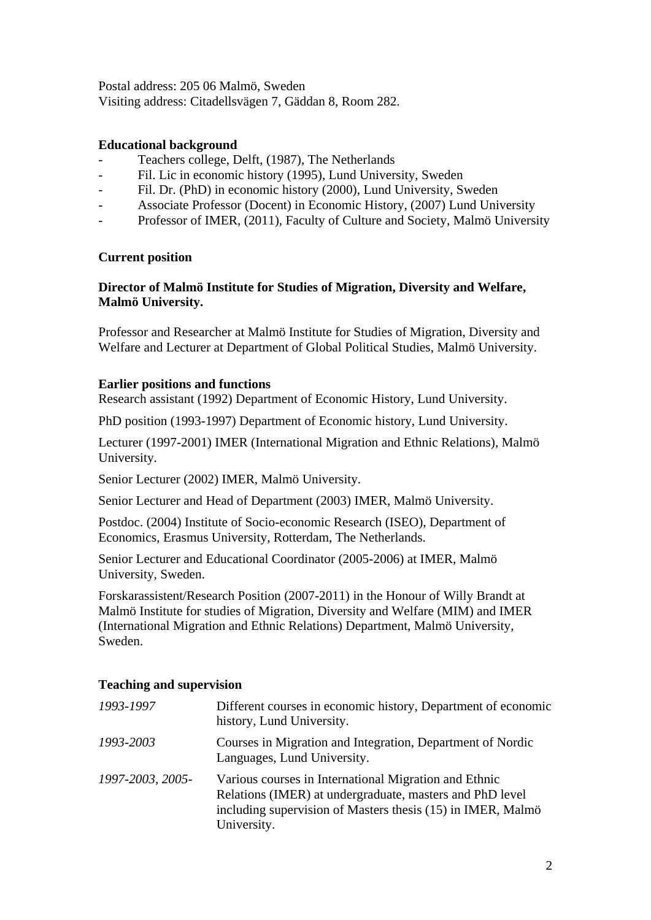Postal address: 205 06 Malmö, Sweden

Visiting address: Citadellsvägen 7, Gäddan 8, Room 282.

### **Educational background**

- Teachers college, Delft, (1987), The Netherlands
- Fil. Lic in economic history (1995), Lund University, Sweden
- Fil. Dr. (PhD) in economic history (2000), Lund University, Sweden
- Associate Professor (Docent) in Economic History, (2007) Lund University
- Professor of IMER, (2011), Faculty of Culture and Society, Malmö University

### **Current position**

# **Director of Malmö Institute for Studies of Migration, Diversity and Welfare, Malmö University.**

Professor and Researcher at Malmö Institute for Studies of Migration, Diversity and Welfare and Lecturer at Department of Global Political Studies, Malmö University.

### **Earlier positions and functions**

Research assistant (1992) Department of Economic History, Lund University.

PhD position (1993-1997) Department of Economic history, Lund University.

Lecturer (1997-2001) IMER (International Migration and Ethnic Relations), Malmö University.

Senior Lecturer (2002) IMER, Malmö University.

Senior Lecturer and Head of Department (2003) IMER, Malmö University.

Postdoc. (2004) Institute of Socio-economic Research (ISEO), Department of Economics, Erasmus University, Rotterdam, The Netherlands.

Senior Lecturer and Educational Coordinator (2005-2006) at IMER, Malmö University, Sweden.

Forskarassistent/Research Position (2007-2011) in the Honour of Willy Brandt at Malmö Institute for studies of Migration, Diversity and Welfare (MIM) and IMER (International Migration and Ethnic Relations) Department, Malmö University, Sweden.

### **Teaching and supervision**

| 1993-1997        | Different courses in economic history, Department of economic<br>history, Lund University.                                                                                                      |
|------------------|-------------------------------------------------------------------------------------------------------------------------------------------------------------------------------------------------|
| 1993-2003        | Courses in Migration and Integration, Department of Nordic<br>Languages, Lund University.                                                                                                       |
| 1997-2003, 2005- | Various courses in International Migration and Ethnic<br>Relations (IMER) at undergraduate, masters and PhD level<br>including supervision of Masters thesis (15) in IMER, Malmö<br>University. |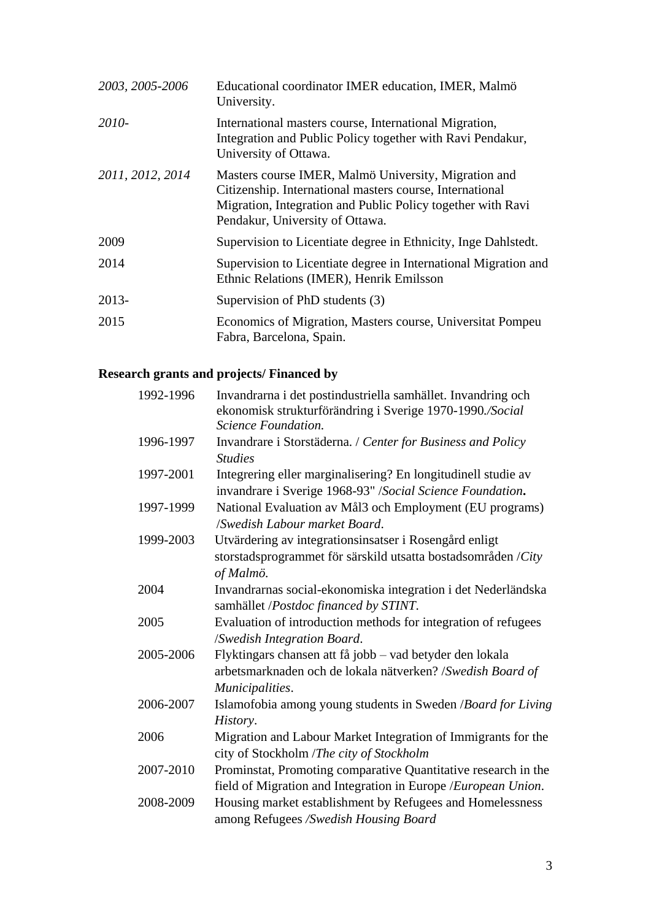| 2003, 2005-2006  | Educational coordinator IMER education, IMER, Malmö<br>University.                                                                                                                                                 |
|------------------|--------------------------------------------------------------------------------------------------------------------------------------------------------------------------------------------------------------------|
| 2010-            | International masters course, International Migration,<br>Integration and Public Policy together with Ravi Pendakur,<br>University of Ottawa.                                                                      |
| 2011, 2012, 2014 | Masters course IMER, Malmö University, Migration and<br>Citizenship. International masters course, International<br>Migration, Integration and Public Policy together with Ravi<br>Pendakur, University of Ottawa. |
| 2009             | Supervision to Licentiate degree in Ethnicity, Inge Dahlstedt.                                                                                                                                                     |
| 2014             | Supervision to Licentiate degree in International Migration and<br>Ethnic Relations (IMER), Henrik Emilsson                                                                                                        |
| 2013-            | Supervision of PhD students (3)                                                                                                                                                                                    |
| 2015             | Economics of Migration, Masters course, Universitat Pompeu<br>Fabra, Barcelona, Spain.                                                                                                                             |

# **Research grants and projects/ Financed by**

| 1992-1996 | Invandrarna i det postindustriella samhället. Invandring och<br>ekonomisk strukturförändring i Sverige 1970-1990./Social<br>Science Foundation. |
|-----------|-------------------------------------------------------------------------------------------------------------------------------------------------|
| 1996-1997 | Invandrare i Storstäderna. / Center for Business and Policy<br><b>Studies</b>                                                                   |
| 1997-2001 | Integrering eller marginalisering? En longitudinell studie av<br>invandrare i Sverige 1968-93" / Social Science Foundation.                     |
| 1997-1999 | National Evaluation av Mål3 och Employment (EU programs)<br>/Swedish Labour market Board.                                                       |
| 1999-2003 | Utvärdering av integrationsinsatser i Rosengård enligt                                                                                          |
|           | storstadsprogrammet för särskild utsatta bostadsområden / $City$<br>of Malmö.                                                                   |
| 2004      | Invandrarnas social-ekonomiska integration i det Nederländska<br>samhället /Postdoc financed by STINT.                                          |
| 2005      | Evaluation of introduction methods for integration of refugees<br>/Swedish Integration Board.                                                   |
| 2005-2006 | Flyktingars chansen att få jobb - vad betyder den lokala<br>arbetsmarknaden och de lokala nätverken? /Swedish Board of<br>Municipalities.       |
| 2006-2007 | Islamofobia among young students in Sweden /Board for Living<br>History.                                                                        |
| 2006      | Migration and Labour Market Integration of Immigrants for the<br>city of Stockholm /The city of Stockholm                                       |
| 2007-2010 | Prominstat, Promoting comparative Quantitative research in the                                                                                  |
|           | field of Migration and Integration in Europe / European Union.                                                                                  |
| 2008-2009 | Housing market establishment by Refugees and Homelessness<br>among Refugees /Swedish Housing Board                                              |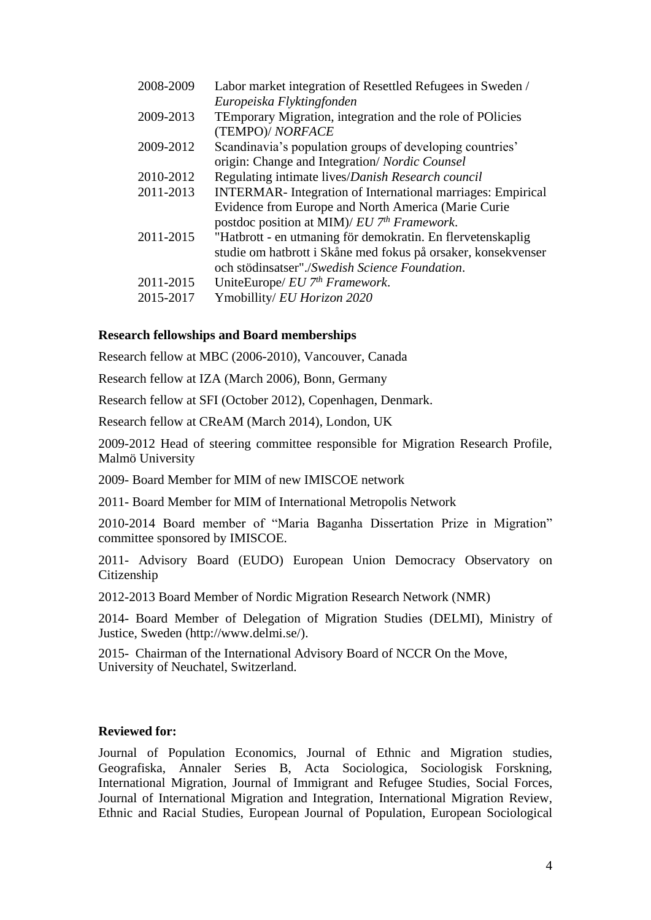| Labor market integration of Resettled Refugees in Sweden /         |
|--------------------------------------------------------------------|
| Europeiska Flyktingfonden                                          |
| TEmporary Migration, integration and the role of POlicies          |
| (TEMPO)/ NORFACE                                                   |
| Scandinavia's population groups of developing countries'           |
| origin: Change and Integration/ Nordic Counsel                     |
| Regulating intimate lives/Danish Research council                  |
| <b>INTERMAR-</b> Integration of International marriages: Empirical |
| Evidence from Europe and North America (Marie Curie                |
| postdoc position at MIM)/ EU 7 <sup>th</sup> Framework.            |
| "Hatbrott - en utmaning för demokratin. En flervetenskaplig        |
| studie om hatbrott i Skåne med fokus på orsaker, konsekvenser      |
| och stödinsatser"./Swedish Science Foundation.                     |
| UniteEurope/ EU 7th Framework.                                     |
| Ymobillity/EU Horizon 2020                                         |
|                                                                    |

### **Research fellowships and Board memberships**

Research fellow at MBC (2006-2010), Vancouver, Canada

Research fellow at IZA (March 2006), Bonn, Germany

Research fellow at SFI (October 2012), Copenhagen, Denmark.

Research fellow at CReAM (March 2014), London, UK

2009-2012 Head of steering committee responsible for Migration Research Profile, Malmö University

2009- Board Member for MIM of new IMISCOE network

2011- Board Member for MIM of International Metropolis Network

2010-2014 Board member of "Maria Baganha Dissertation Prize in Migration" committee sponsored by IMISCOE.

2011- Advisory Board (EUDO) European Union Democracy Observatory on Citizenship

2012-2013 Board Member of Nordic Migration Research Network (NMR)

2014- Board Member of Delegation of Migration Studies (DELMI), Ministry of Justice, Sweden (http://www.delmi.se/).

2015- Chairman of the International Advisory Board of NCCR On the Move, University of Neuchatel, Switzerland.

### **Reviewed for:**

Journal of Population Economics, Journal of Ethnic and Migration studies, Geografiska, Annaler Series B, Acta Sociologica, Sociologisk Forskning, International Migration, Journal of Immigrant and Refugee Studies, Social Forces, Journal of International Migration and Integration, International Migration Review, Ethnic and Racial Studies, European Journal of Population, European Sociological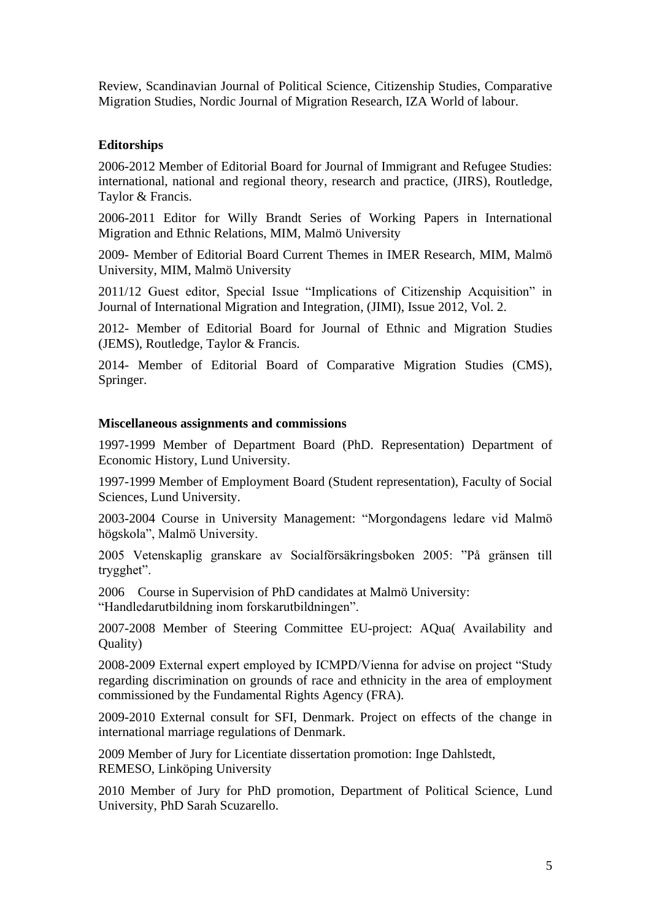Review, Scandinavian Journal of Political Science, Citizenship Studies, Comparative Migration Studies, Nordic Journal of Migration Research, IZA World of labour.

### **Editorships**

2006-2012 Member of Editorial Board for Journal of Immigrant and Refugee Studies: international, national and regional theory, research and practice, (JIRS), Routledge, Taylor & Francis.

2006-2011 Editor for Willy Brandt Series of Working Papers in International Migration and Ethnic Relations, MIM, Malmö University

2009- Member of Editorial Board Current Themes in IMER Research, MIM, Malmö University, MIM, Malmö University

2011/12 Guest editor, Special Issue "Implications of Citizenship Acquisition" in Journal of International Migration and Integration, (JIMI), Issue 2012, Vol. 2.

2012- Member of Editorial Board for Journal of Ethnic and Migration Studies (JEMS), Routledge, Taylor & Francis.

2014- Member of Editorial Board of Comparative Migration Studies (CMS), Springer.

#### **Miscellaneous assignments and commissions**

1997-1999 Member of Department Board (PhD. Representation) Department of Economic History, Lund University.

1997-1999 Member of Employment Board (Student representation), Faculty of Social Sciences, Lund University.

2003-2004 Course in University Management: "Morgondagens ledare vid Malmö högskola", Malmö University.

2005 Vetenskaplig granskare av Socialförsäkringsboken 2005: "På gränsen till trygghet".

2006 Course in Supervision of PhD candidates at Malmö University: "Handledarutbildning inom forskarutbildningen".

2007-2008 Member of Steering Committee EU-project: AQua( Availability and Quality)

2008-2009 External expert employed by ICMPD/Vienna for advise on project "Study regarding discrimination on grounds of race and ethnicity in the area of employment commissioned by the Fundamental Rights Agency (FRA).

2009-2010 External consult for SFI, Denmark. Project on effects of the change in international marriage regulations of Denmark.

2009 Member of Jury for Licentiate dissertation promotion: Inge Dahlstedt, REMESO, Linköping University

2010 Member of Jury for PhD promotion, Department of Political Science, Lund University, PhD Sarah Scuzarello.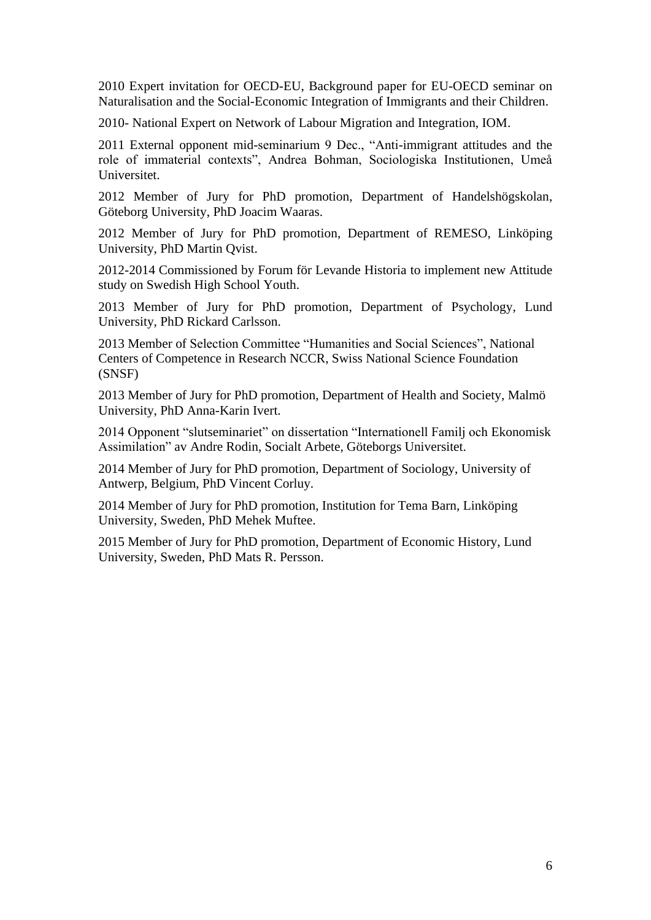2010 Expert invitation for OECD-EU, Background paper for EU-OECD seminar on Naturalisation and the Social-Economic Integration of Immigrants and their Children.

2010- National Expert on Network of Labour Migration and Integration, IOM.

2011 External opponent mid-seminarium 9 Dec., "Anti-immigrant attitudes and the role of immaterial contexts", Andrea Bohman, Sociologiska Institutionen, Umeå Universitet.

2012 Member of Jury for PhD promotion, Department of Handelshögskolan, Göteborg University, PhD Joacim Waaras.

2012 Member of Jury for PhD promotion, Department of REMESO, Linköping University, PhD Martin Qvist.

2012-2014 Commissioned by Forum för Levande Historia to implement new Attitude study on Swedish High School Youth.

2013 Member of Jury for PhD promotion, Department of Psychology, Lund University, PhD Rickard Carlsson.

2013 Member of Selection Committee "Humanities and Social Sciences", National Centers of Competence in Research NCCR, Swiss National Science Foundation (SNSF)

2013 Member of Jury for PhD promotion, Department of Health and Society, Malmö University, PhD Anna-Karin Ivert.

2014 Opponent "slutseminariet" on dissertation "Internationell Familj och Ekonomisk Assimilation" av Andre Rodin, Socialt Arbete, Göteborgs Universitet.

2014 Member of Jury for PhD promotion, Department of Sociology, University of Antwerp, Belgium, PhD Vincent Corluy.

2014 Member of Jury for PhD promotion, Institution for Tema Barn, Linköping University, Sweden, PhD Mehek Muftee.

2015 Member of Jury for PhD promotion, Department of Economic History, Lund University, Sweden, PhD Mats R. Persson.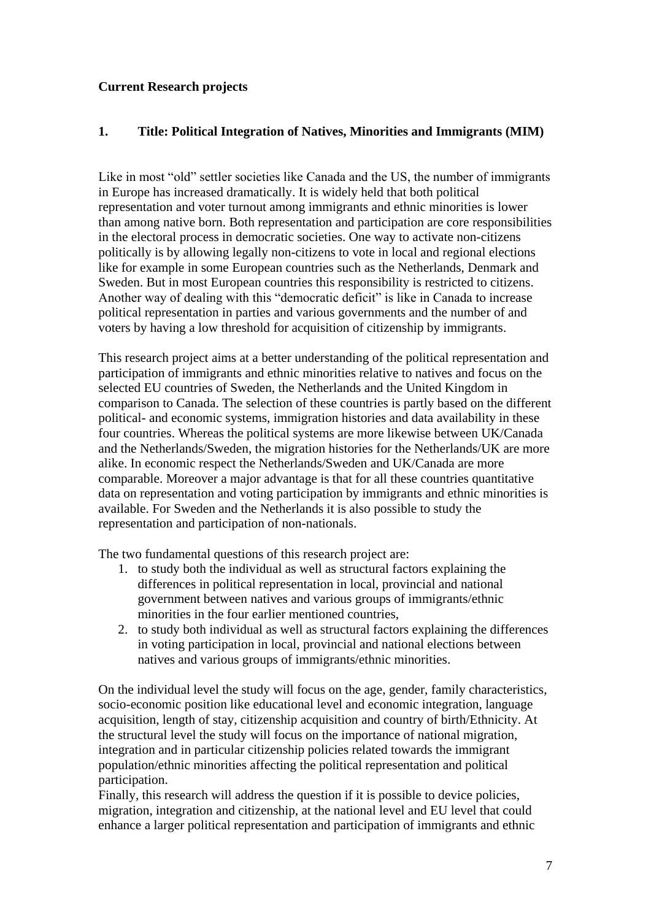# **Current Research projects**

# **1. Title: Political Integration of Natives, Minorities and Immigrants (MIM)**

Like in most "old" settler societies like Canada and the US, the number of immigrants in Europe has increased dramatically. It is widely held that both political representation and voter turnout among immigrants and ethnic minorities is lower than among native born. Both representation and participation are core responsibilities in the electoral process in democratic societies. One way to activate non-citizens politically is by allowing legally non-citizens to vote in local and regional elections like for example in some European countries such as the Netherlands, Denmark and Sweden. But in most European countries this responsibility is restricted to citizens. Another way of dealing with this "democratic deficit" is like in Canada to increase political representation in parties and various governments and the number of and voters by having a low threshold for acquisition of citizenship by immigrants.

This research project aims at a better understanding of the political representation and participation of immigrants and ethnic minorities relative to natives and focus on the selected EU countries of Sweden, the Netherlands and the United Kingdom in comparison to Canada. The selection of these countries is partly based on the different political- and economic systems, immigration histories and data availability in these four countries. Whereas the political systems are more likewise between UK/Canada and the Netherlands/Sweden, the migration histories for the Netherlands/UK are more alike. In economic respect the Netherlands/Sweden and UK/Canada are more comparable. Moreover a major advantage is that for all these countries quantitative data on representation and voting participation by immigrants and ethnic minorities is available. For Sweden and the Netherlands it is also possible to study the representation and participation of non-nationals.

The two fundamental questions of this research project are:

- 1. to study both the individual as well as structural factors explaining the differences in political representation in local, provincial and national government between natives and various groups of immigrants/ethnic minorities in the four earlier mentioned countries,
- 2. to study both individual as well as structural factors explaining the differences in voting participation in local, provincial and national elections between natives and various groups of immigrants/ethnic minorities.

On the individual level the study will focus on the age, gender, family characteristics, socio-economic position like educational level and economic integration, language acquisition, length of stay, citizenship acquisition and country of birth/Ethnicity. At the structural level the study will focus on the importance of national migration, integration and in particular citizenship policies related towards the immigrant population/ethnic minorities affecting the political representation and political participation.

Finally, this research will address the question if it is possible to device policies, migration, integration and citizenship, at the national level and EU level that could enhance a larger political representation and participation of immigrants and ethnic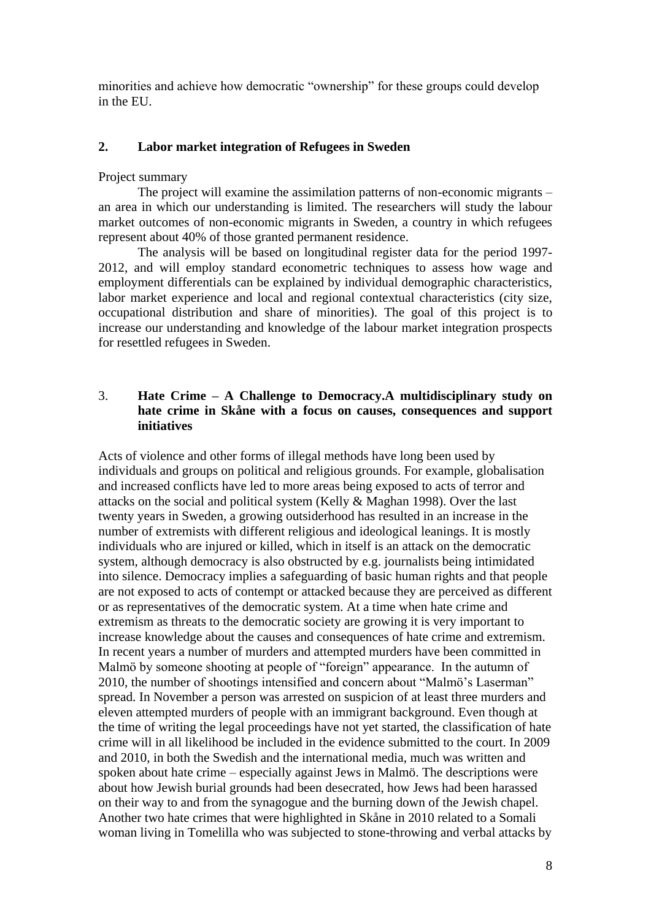minorities and achieve how democratic "ownership" for these groups could develop in the EU.

#### **2. Labor market integration of Refugees in Sweden**

#### Project summary

The project will examine the assimilation patterns of non-economic migrants – an area in which our understanding is limited. The researchers will study the labour market outcomes of non-economic migrants in Sweden, a country in which refugees represent about 40% of those granted permanent residence.

The analysis will be based on longitudinal register data for the period 1997- 2012, and will employ standard econometric techniques to assess how wage and employment differentials can be explained by individual demographic characteristics, labor market experience and local and regional contextual characteristics (city size, occupational distribution and share of minorities). The goal of this project is to increase our understanding and knowledge of the labour market integration prospects for resettled refugees in Sweden.

## 3. **Hate Crime – A Challenge to Democracy.A multidisciplinary study on hate crime in Skåne with a focus on causes, consequences and support initiatives**

Acts of violence and other forms of illegal methods have long been used by individuals and groups on political and religious grounds. For example, globalisation and increased conflicts have led to more areas being exposed to acts of terror and attacks on the social and political system (Kelly & Maghan 1998). Over the last twenty years in Sweden, a growing outsiderhood has resulted in an increase in the number of extremists with different religious and ideological leanings. It is mostly individuals who are injured or killed, which in itself is an attack on the democratic system, although democracy is also obstructed by e.g. journalists being intimidated into silence. Democracy implies a safeguarding of basic human rights and that people are not exposed to acts of contempt or attacked because they are perceived as different or as representatives of the democratic system. At a time when hate crime and extremism as threats to the democratic society are growing it is very important to increase knowledge about the causes and consequences of hate crime and extremism. In recent years a number of murders and attempted murders have been committed in Malmö by someone shooting at people of "foreign" appearance. In the autumn of 2010, the number of shootings intensified and concern about "Malmö's Laserman" spread. In November a person was arrested on suspicion of at least three murders and eleven attempted murders of people with an immigrant background. Even though at the time of writing the legal proceedings have not yet started, the classification of hate crime will in all likelihood be included in the evidence submitted to the court. In 2009 and 2010, in both the Swedish and the international media, much was written and spoken about hate crime – especially against Jews in Malmö. The descriptions were about how Jewish burial grounds had been desecrated, how Jews had been harassed on their way to and from the synagogue and the burning down of the Jewish chapel. Another two hate crimes that were highlighted in Skåne in 2010 related to a Somali woman living in Tomelilla who was subjected to stone-throwing and verbal attacks by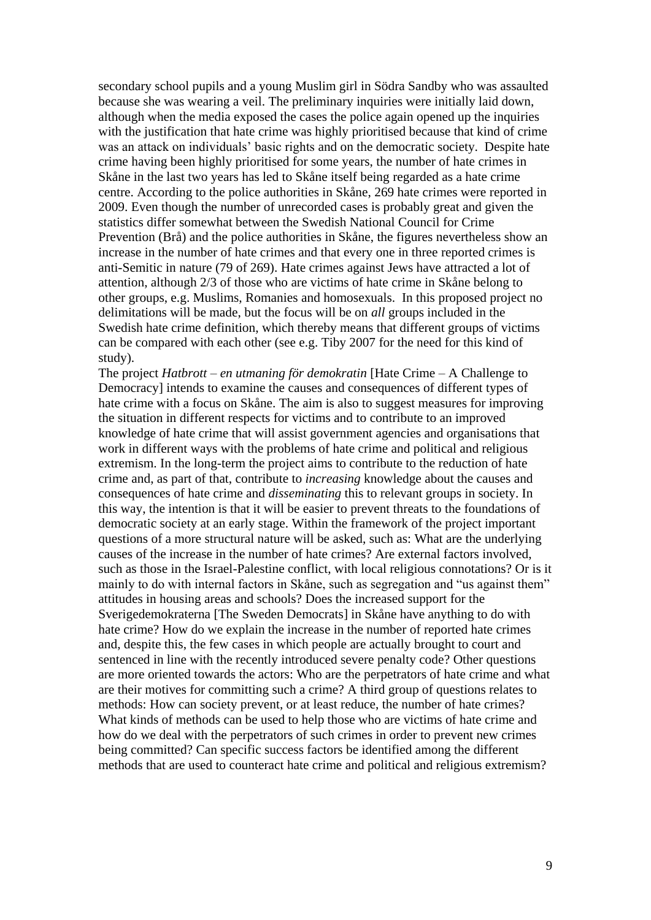secondary school pupils and a young Muslim girl in Södra Sandby who was assaulted because she was wearing a veil. The preliminary inquiries were initially laid down, although when the media exposed the cases the police again opened up the inquiries with the justification that hate crime was highly prioritised because that kind of crime was an attack on individuals' basic rights and on the democratic society. Despite hate crime having been highly prioritised for some years, the number of hate crimes in Skåne in the last two years has led to Skåne itself being regarded as a hate crime centre. According to the police authorities in Skåne, 269 hate crimes were reported in 2009. Even though the number of unrecorded cases is probably great and given the statistics differ somewhat between the Swedish National Council for Crime Prevention (Brå) and the police authorities in Skåne, the figures nevertheless show an increase in the number of hate crimes and that every one in three reported crimes is anti-Semitic in nature (79 of 269). Hate crimes against Jews have attracted a lot of attention, although 2/3 of those who are victims of hate crime in Skåne belong to other groups, e.g. Muslims, Romanies and homosexuals. In this proposed project no delimitations will be made, but the focus will be on *all* groups included in the Swedish hate crime definition, which thereby means that different groups of victims can be compared with each other (see e.g. Tiby 2007 for the need for this kind of study).

The project *Hatbrott – en utmaning för demokratin* [Hate Crime – A Challenge to Democracy] intends to examine the causes and consequences of different types of hate crime with a focus on Skåne. The aim is also to suggest measures for improving the situation in different respects for victims and to contribute to an improved knowledge of hate crime that will assist government agencies and organisations that work in different ways with the problems of hate crime and political and religious extremism. In the long-term the project aims to contribute to the reduction of hate crime and, as part of that, contribute to *increasing* knowledge about the causes and consequences of hate crime and *disseminating* this to relevant groups in society. In this way, the intention is that it will be easier to prevent threats to the foundations of democratic society at an early stage. Within the framework of the project important questions of a more structural nature will be asked, such as: What are the underlying causes of the increase in the number of hate crimes? Are external factors involved, such as those in the Israel-Palestine conflict, with local religious connotations? Or is it mainly to do with internal factors in Skåne, such as segregation and "us against them" attitudes in housing areas and schools? Does the increased support for the Sverigedemokraterna [The Sweden Democrats] in Skåne have anything to do with hate crime? How do we explain the increase in the number of reported hate crimes and, despite this, the few cases in which people are actually brought to court and sentenced in line with the recently introduced severe penalty code? Other questions are more oriented towards the actors: Who are the perpetrators of hate crime and what are their motives for committing such a crime? A third group of questions relates to methods: How can society prevent, or at least reduce, the number of hate crimes? What kinds of methods can be used to help those who are victims of hate crime and how do we deal with the perpetrators of such crimes in order to prevent new crimes being committed? Can specific success factors be identified among the different methods that are used to counteract hate crime and political and religious extremism?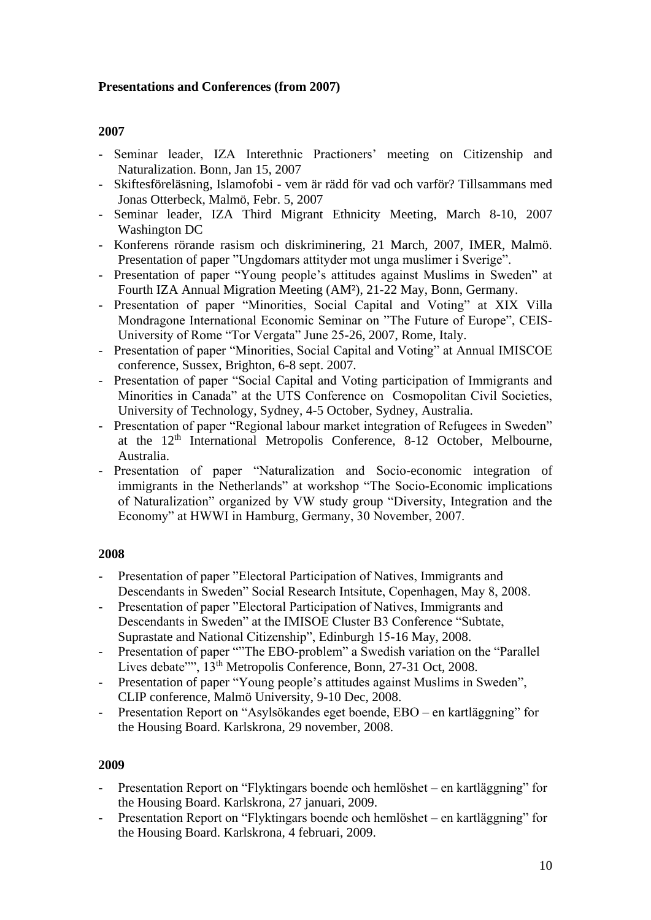# **Presentations and Conferences (from 2007)**

# **2007**

- Seminar leader, IZA Interethnic Practioners' meeting on Citizenship and Naturalization. Bonn, Jan 15, 2007
- Skiftesföreläsning, Islamofobi vem är rädd för vad och varför? Tillsammans med Jonas Otterbeck, Malmö, Febr. 5, 2007
- Seminar leader, IZA Third Migrant Ethnicity Meeting, March 8-10, 2007 Washington DC
- Konferens rörande rasism och diskriminering, 21 March, 2007, IMER, Malmö. Presentation of paper "Ungdomars attityder mot unga muslimer i Sverige".
- Presentation of paper "Young people's attitudes against Muslims in Sweden" at Fourth IZA Annual Migration Meeting (AM²), 21-22 May, Bonn, Germany.
- Presentation of paper "Minorities, Social Capital and Voting" at XIX Villa Mondragone International Economic Seminar on "The Future of Europe", CEIS-University of Rome "Tor Vergata" June 25-26, 2007, Rome, Italy.
- Presentation of paper "Minorities, Social Capital and Voting" at Annual IMISCOE conference, Sussex, Brighton, 6-8 sept. 2007.
- Presentation of paper "Social Capital and Voting participation of Immigrants and Minorities in Canada" at the UTS Conference on Cosmopolitan Civil Societies, University of Technology, Sydney, 4-5 October, Sydney, Australia.
- Presentation of paper "Regional labour market integration of Refugees in Sweden" at the 12<sup>th</sup> International Metropolis Conference, 8-12 October, Melbourne, Australia.
- Presentation of paper "Naturalization and Socio-economic integration of immigrants in the Netherlands" at workshop "The Socio-Economic implications of Naturalization" organized by VW study group "Diversity, Integration and the Economy" at HWWI in Hamburg, Germany, 30 November, 2007.

# **2008**

- Presentation of paper "Electoral Participation of Natives, Immigrants and Descendants in Sweden" Social Research Intsitute, Copenhagen, May 8, 2008.
- Presentation of paper "Electoral Participation of Natives, Immigrants and Descendants in Sweden" at the IMISOE Cluster B3 Conference "Subtate, Suprastate and National Citizenship", Edinburgh 15-16 May, 2008.
- Presentation of paper ""The EBO-problem" a Swedish variation on the "Parallel" Lives debate"", 13<sup>th</sup> Metropolis Conference, Bonn, 27-31 Oct, 2008.
- Presentation of paper "Young people's attitudes against Muslims in Sweden", CLIP conference, Malmö University, 9-10 Dec, 2008.
- Presentation Report on "Asylsökandes eget boende, EBO en kartläggning" for the Housing Board. Karlskrona, 29 november, 2008.

- Presentation Report on "Flyktingars boende och hemlöshet en kartläggning" for the Housing Board. Karlskrona, 27 januari, 2009.
- Presentation Report on "Flyktingars boende och hemlöshet en kartläggning" for the Housing Board. Karlskrona, 4 februari, 2009.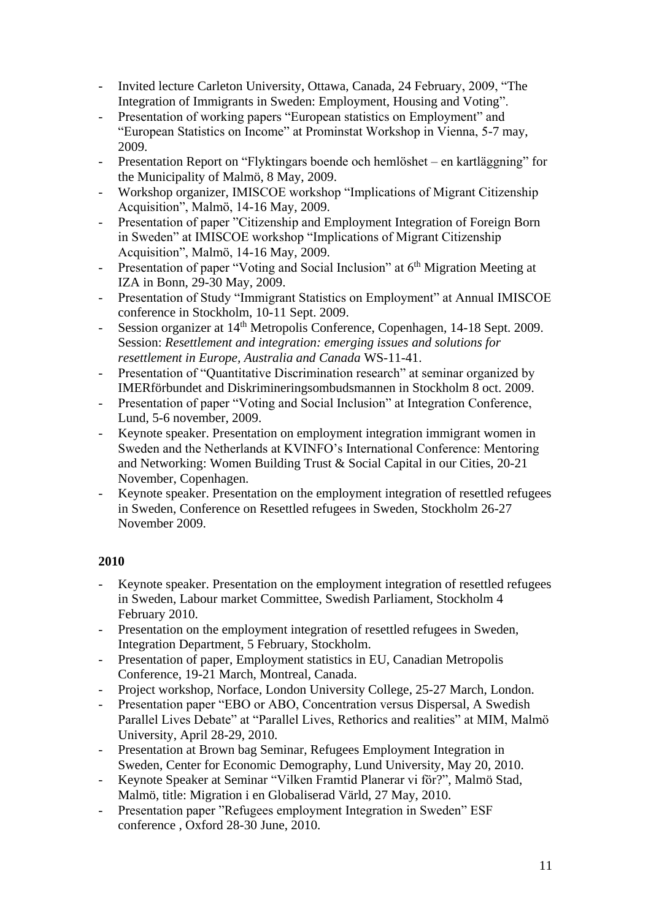- Invited lecture Carleton University, Ottawa, Canada, 24 February, 2009, "The Integration of Immigrants in Sweden: Employment, Housing and Voting".
- Presentation of working papers "European statistics on Employment" and "European Statistics on Income" at Prominstat Workshop in Vienna, 5-7 may, 2009.
- Presentation Report on "Flyktingars boende och hemlöshet en kartläggning" for the Municipality of Malmö, 8 May, 2009.
- Workshop organizer, IMISCOE workshop "Implications of Migrant Citizenship Acquisition", Malmö, 14-16 May, 2009.
- Presentation of paper "Citizenship and Employment Integration of Foreign Born in Sweden" at IMISCOE workshop "Implications of Migrant Citizenship Acquisition", Malmö, 14-16 May, 2009.
- Presentation of paper "Voting and Social Inclusion" at  $6<sup>th</sup>$  Migration Meeting at IZA in Bonn, 29-30 May, 2009.
- Presentation of Study "Immigrant Statistics on Employment" at Annual IMISCOE conference in Stockholm, 10-11 Sept. 2009.
- Session organizer at 14<sup>th</sup> Metropolis Conference, Copenhagen, 14-18 Sept. 2009. Session: *Resettlement and integration: emerging issues and solutions for resettlement in Europe, Australia and Canada* WS-11-41.
- Presentation of "Quantitative Discrimination research" at seminar organized by IMERförbundet and Diskrimineringsombudsmannen in Stockholm 8 oct. 2009.
- Presentation of paper "Voting and Social Inclusion" at Integration Conference, Lund, 5-6 november, 2009.
- Keynote speaker. Presentation on employment integration immigrant women in Sweden and the Netherlands at KVINFO's International Conference: Mentoring and Networking: Women Building Trust & Social Capital in our Cities, 20-21 November, Copenhagen.
- Keynote speaker. Presentation on the employment integration of resettled refugees in Sweden, Conference on Resettled refugees in Sweden, Stockholm 26-27 November 2009.

- Keynote speaker. Presentation on the employment integration of resettled refugees in Sweden, Labour market Committee, Swedish Parliament, Stockholm 4 February 2010.
- Presentation on the employment integration of resettled refugees in Sweden, Integration Department, 5 February, Stockholm.
- Presentation of paper, Employment statistics in EU, Canadian Metropolis Conference, 19-21 March, Montreal, Canada.
- Project workshop, Norface, London University College, 25-27 March, London.
- Presentation paper "EBO or ABO, Concentration versus Dispersal, A Swedish Parallel Lives Debate" at "Parallel Lives, Rethorics and realities" at MIM, Malmö University, April 28-29, 2010.
- Presentation at Brown bag Seminar, Refugees Employment Integration in Sweden, Center for Economic Demography, Lund University, May 20, 2010.
- Keynote Speaker at Seminar "Vilken Framtid Planerar vi för?", Malmö Stad, Malmö, title: Migration i en Globaliserad Värld, 27 May, 2010.
- Presentation paper "Refugees employment Integration in Sweden" ESF conference , Oxford 28-30 June, 2010.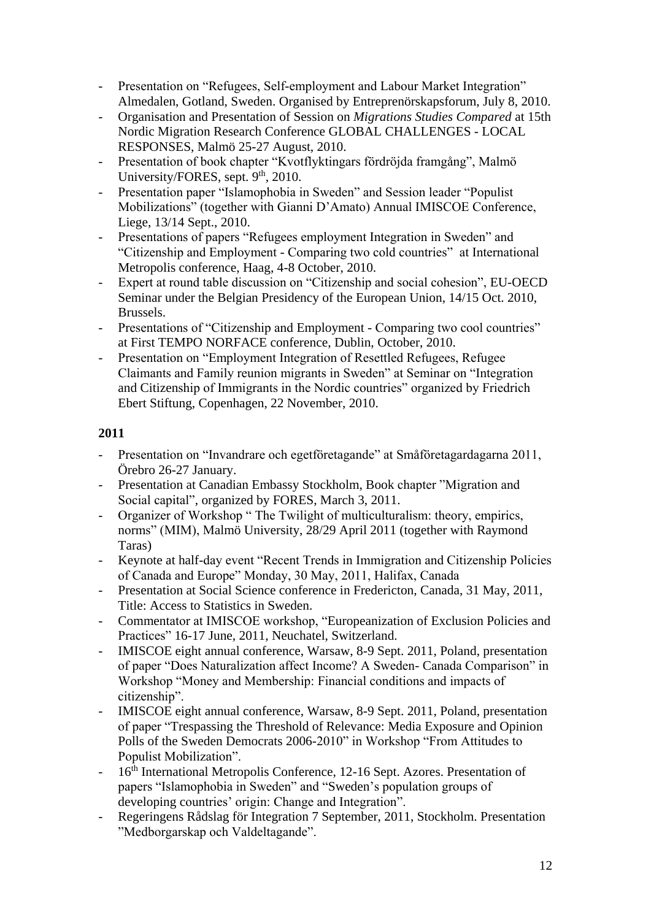- Presentation on "Refugees, Self-employment and Labour Market Integration" Almedalen, Gotland, Sweden. Organised by Entreprenörskapsforum, July 8, 2010.
- Organisation and Presentation of Session on *Migrations Studies Compared* at 15th Nordic Migration Research Conference GLOBAL CHALLENGES - LOCAL RESPONSES, Malmö 25-27 August, 2010.
- Presentation of book chapter "Kvotflyktingars fördröjda framgång", Malmö University/FORES, sept. 9<sup>th</sup>, 2010.
- Presentation paper "Islamophobia in Sweden" and Session leader "Populist Mobilizations" (together with Gianni D'Amato) Annual IMISCOE Conference, Liege, 13/14 Sept., 2010.
- Presentations of papers "Refugees employment Integration in Sweden" and "Citizenship and Employment - Comparing two cold countries" at International Metropolis conference, Haag, 4-8 October, 2010.
- Expert at round table discussion on "Citizenship and social cohesion", EU-OECD Seminar under the Belgian Presidency of the European Union, 14/15 Oct. 2010, Brussels.
- Presentations of "Citizenship and Employment Comparing two cool countries" at First TEMPO NORFACE conference, Dublin, October, 2010.
- Presentation on "Employment Integration of Resettled Refugees, Refugee Claimants and Family reunion migrants in Sweden" at Seminar on "Integration and Citizenship of Immigrants in the Nordic countries" organized by Friedrich Ebert Stiftung, Copenhagen, 22 November, 2010.

- Presentation on "Invandrare och egetföretagande" at Småföretagardagarna 2011, Örebro 26-27 January.
- Presentation at Canadian Embassy Stockholm, Book chapter "Migration and Social capital", organized by FORES, March 3, 2011.
- Organizer of Workshop " The Twilight of multiculturalism: theory, empirics, norms" (MIM), Malmö University, 28/29 April 2011 (together with Raymond Taras)
- Keynote at half-day event "Recent Trends in Immigration and Citizenship Policies of Canada and Europe" Monday, 30 May, 2011, Halifax, Canada
- Presentation at Social Science conference in Fredericton, Canada, 31 May, 2011, Title: Access to Statistics in Sweden.
- Commentator at IMISCOE workshop, "Europeanization of Exclusion Policies and Practices" 16-17 June, 2011, Neuchatel, Switzerland.
- IMISCOE eight annual conference, Warsaw, 8-9 Sept. 2011, Poland, presentation of paper "Does Naturalization affect Income? A Sweden- Canada Comparison" in Workshop "Money and Membership: Financial conditions and impacts of citizenship".
- IMISCOE eight annual conference, Warsaw, 8-9 Sept. 2011, Poland, presentation of paper "Trespassing the Threshold of Relevance: Media Exposure and Opinion Polls of the Sweden Democrats 2006-2010" in Workshop "From Attitudes to Populist Mobilization".
- 16<sup>th</sup> International Metropolis Conference, 12-16 Sept. Azores. Presentation of papers "Islamophobia in Sweden" and "Sweden's population groups of developing countries' origin: Change and Integration".
- Regeringens Rådslag för Integration 7 September, 2011, Stockholm. Presentation "Medborgarskap och Valdeltagande".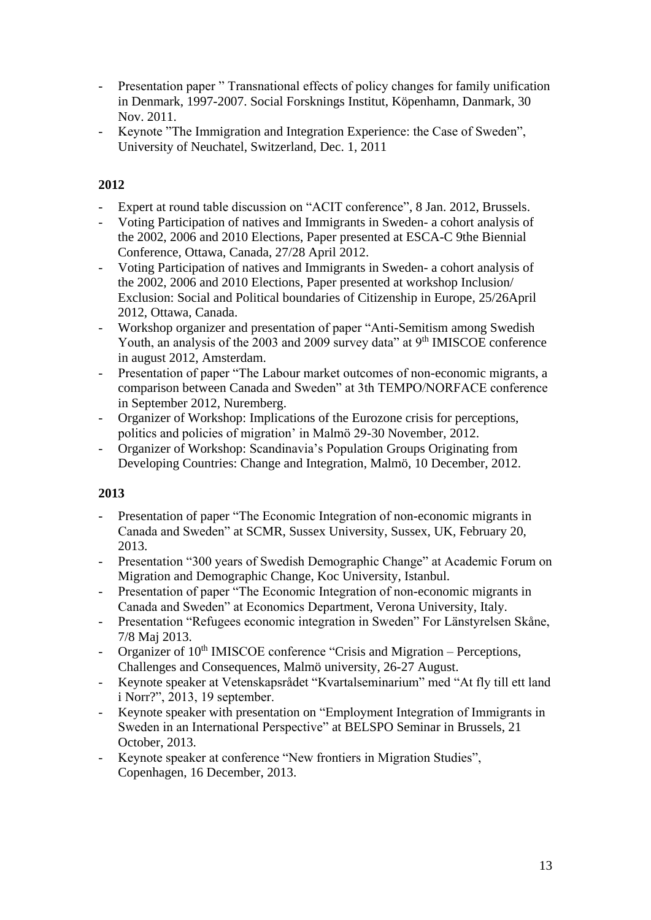- Presentation paper " Transnational effects of policy changes for family unification in Denmark, 1997-2007. Social Forsknings Institut, Köpenhamn, Danmark, 30 Nov. 2011.
- Keynote "The Immigration and Integration Experience: the Case of Sweden", University of Neuchatel, Switzerland, Dec. 1, 2011

# **2012**

- Expert at round table discussion on "ACIT conference", 8 Jan. 2012, Brussels.
- Voting Participation of natives and Immigrants in Sweden- a cohort analysis of the 2002, 2006 and 2010 Elections, Paper presented at ESCA-C 9the Biennial Conference, Ottawa, Canada, 27/28 April 2012.
- Voting Participation of natives and Immigrants in Sweden- a cohort analysis of the 2002, 2006 and 2010 Elections, Paper presented at workshop Inclusion/ Exclusion: Social and Political boundaries of Citizenship in Europe, 25/26April 2012, Ottawa, Canada.
- Workshop organizer and presentation of paper "Anti-Semitism among Swedish Youth, an analysis of the 2003 and 2009 survey data" at 9<sup>th</sup> IMISCOE conference in august 2012, Amsterdam.
- Presentation of paper "The Labour market outcomes of non-economic migrants, a comparison between Canada and Sweden" at 3th TEMPO/NORFACE conference in September 2012, Nuremberg.
- Organizer of Workshop: Implications of the Eurozone crisis for perceptions, politics and policies of migration' in Malmö 29-30 November, 2012.
- Organizer of Workshop: Scandinavia's Population Groups Originating from Developing Countries: Change and Integration, Malmö, 10 December, 2012.

- Presentation of paper "The Economic Integration of non-economic migrants in Canada and Sweden" at SCMR, Sussex University, Sussex, UK, February 20, 2013.
- Presentation "300 years of Swedish Demographic Change" at Academic Forum on Migration and Demographic Change, Koc University, Istanbul.
- Presentation of paper "The Economic Integration of non-economic migrants in Canada and Sweden" at Economics Department, Verona University, Italy.
- Presentation "Refugees economic integration in Sweden" For Länstyrelsen Skåne, 7/8 Maj 2013.
- Organizer of  $10<sup>th</sup>$  IMISCOE conference "Crisis and Migration Perceptions, Challenges and Consequences, Malmö university, 26-27 August.
- Keynote speaker at Vetenskapsrådet "Kvartalseminarium" med "At fly till ett land i Norr?", 2013, 19 september.
- Keynote speaker with presentation on "Employment Integration of Immigrants in Sweden in an International Perspective" at BELSPO Seminar in Brussels, 21 October, 2013.
- Keynote speaker at conference "New frontiers in Migration Studies", Copenhagen, 16 December, 2013.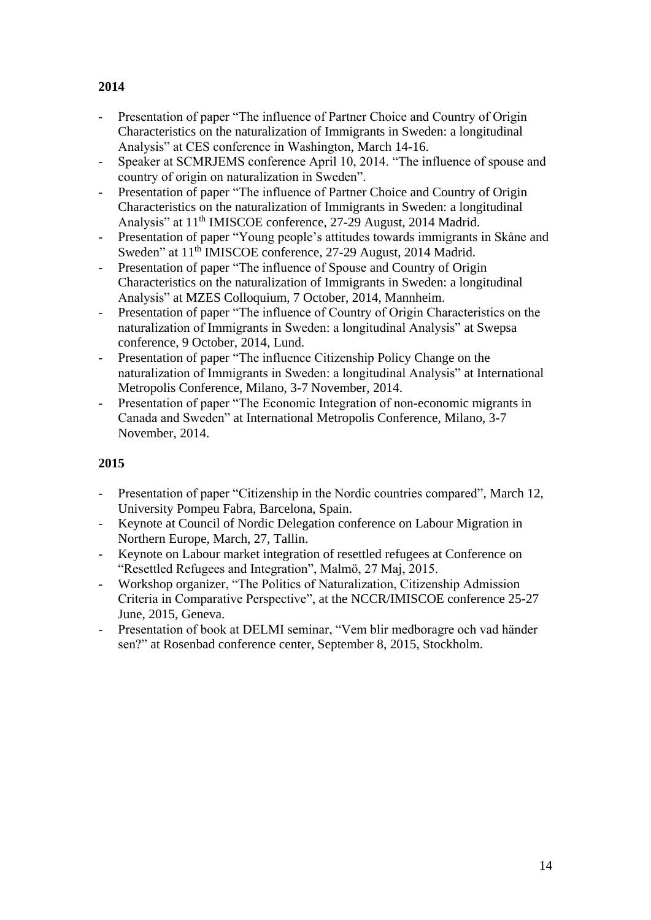# - Presentation of paper "The influence of Partner Choice and Country of Origin Characteristics on the naturalization of Immigrants in Sweden: a longitudinal Analysis" at CES conference in Washington, March 14-16.

- Speaker at SCMRJEMS conference April 10, 2014. "The influence of spouse and country of origin on naturalization in Sweden".
- Presentation of paper "The influence of Partner Choice and Country of Origin Characteristics on the naturalization of Immigrants in Sweden: a longitudinal Analysis" at 11<sup>th</sup> IMISCOE conference, 27-29 August, 2014 Madrid.
- Presentation of paper "Young people's attitudes towards immigrants in Skåne and Sweden" at 11<sup>th</sup> IMISCOE conference, 27-29 August, 2014 Madrid.
- Presentation of paper "The influence of Spouse and Country of Origin Characteristics on the naturalization of Immigrants in Sweden: a longitudinal Analysis" at MZES Colloquium, 7 October, 2014, Mannheim.
- Presentation of paper "The influence of Country of Origin Characteristics on the naturalization of Immigrants in Sweden: a longitudinal Analysis" at Swepsa conference, 9 October, 2014, Lund.
- Presentation of paper "The influence Citizenship Policy Change on the naturalization of Immigrants in Sweden: a longitudinal Analysis" at International Metropolis Conference, Milano, 3-7 November, 2014.
- Presentation of paper "The Economic Integration of non-economic migrants in Canada and Sweden" at International Metropolis Conference, Milano, 3-7 November, 2014.

# **2015**

- Presentation of paper "Citizenship in the Nordic countries compared", March 12, University Pompeu Fabra, Barcelona, Spain.
- Keynote at Council of Nordic Delegation conference on Labour Migration in Northern Europe, March, 27, Tallin.
- Keynote on Labour market integration of resettled refugees at Conference on "Resettled Refugees and Integration", Malmö, 27 Maj, 2015.
- Workshop organizer, "The Politics of Naturalization, Citizenship Admission Criteria in Comparative Perspective", at the NCCR/IMISCOE conference 25-27 June, 2015, Geneva.
- Presentation of book at DELMI seminar, "Vem blir medboragre och vad händer sen?" at Rosenbad conference center, September 8, 2015, Stockholm.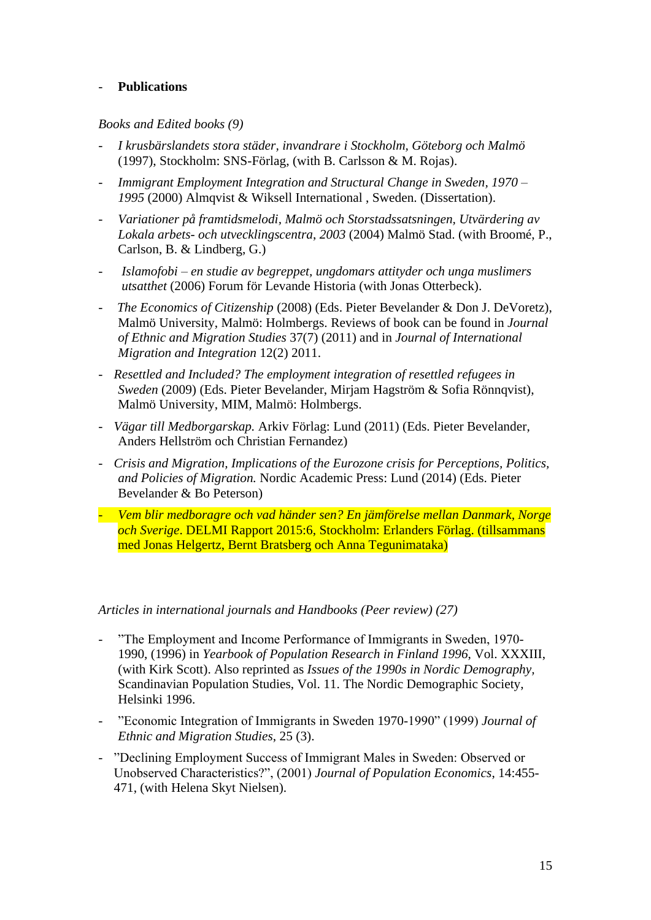# - **Publications**

# *Books and Edited books (9)*

- *I krusbärslandets stora städer, invandrare i Stockholm, Göteborg och Malmö* (1997), Stockholm: SNS-Förlag, (with B. Carlsson & M. Rojas).
- *Immigrant Employment Integration and Structural Change in Sweden, 1970 – 1995* (2000) Almqvist & Wiksell International , Sweden. (Dissertation).
- *Variationer på framtidsmelodi, Malmö och Storstadssatsningen, Utvärdering av Lokala arbets- och utvecklingscentra*, *2003* (2004) Malmö Stad. (with Broomé, P., Carlson, B. & Lindberg, G.)
- *Islamofobi – en studie av begreppet, ungdomars attityder och unga muslimers utsatthet* (2006) Forum för Levande Historia (with Jonas Otterbeck).
- *The Economics of Citizenship* (2008) (Eds. Pieter Bevelander & Don J. DeVoretz), Malmö University, Malmö: Holmbergs. Reviews of book can be found in *Journal of Ethnic and Migration Studies* 37(7) (2011) and in *Journal of International Migration and Integration* 12(2) 2011.
- *Resettled and Included? The employment integration of resettled refugees in Sweden* (2009) (Eds. Pieter Bevelander, Mirjam Hagström & Sofia Rönnqvist), Malmö University, MIM, Malmö: Holmbergs.
- *Vägar till Medborgarskap.* Arkiv Förlag: Lund (2011) (Eds. Pieter Bevelander, Anders Hellström och Christian Fernandez)
- *Crisis and Migration, Implications of the Eurozone crisis for Perceptions, Politics, and Policies of Migration.* Nordic Academic Press: Lund (2014) (Eds. Pieter Bevelander & Bo Peterson)
- *Vem blir medboragre och vad händer sen? En jämförelse mellan Danmark, Norge och Sverige*. DELMI Rapport 2015:6, Stockholm: Erlanders Förlag. (tillsammans med Jonas Helgertz, Bernt Bratsberg och Anna Tegunimataka)

### *Articles in international journals and Handbooks (Peer review) (27)*

- "The Employment and Income Performance of Immigrants in Sweden, 1970- 1990, (1996) in *Yearbook of Population Research in Finland 1996*, Vol. XXXIII, (with Kirk Scott). Also reprinted as *Issues of the 1990s in Nordic Demography,* Scandinavian Population Studies, Vol. 11. The Nordic Demographic Society, Helsinki 1996.
- "Economic Integration of Immigrants in Sweden 1970-1990" (1999) *Journal of Ethnic and Migration Studies*, 25 (3).
- "Declining Employment Success of Immigrant Males in Sweden: Observed or Unobserved Characteristics?", (2001) *Journal of Population Economics*, 14:455- 471, (with Helena Skyt Nielsen).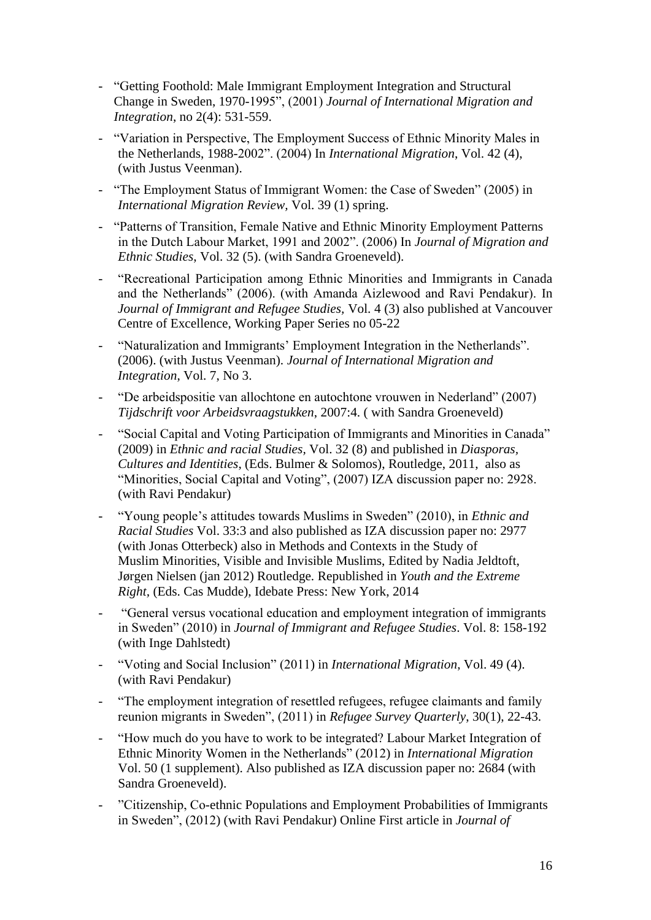- "Getting Foothold: Male Immigrant Employment Integration and Structural Change in Sweden, 1970-1995", (2001) *Journal of International Migration and Integration*, no 2(4): 531-559.
- "Variation in Perspective, The Employment Success of Ethnic Minority Males in the Netherlands, 1988-2002". (2004) In *International Migration*, Vol. 42 (4), (with Justus Veenman).
- "The Employment Status of Immigrant Women: the Case of Sweden" (2005) in *International Migration Review,* Vol. 39 (1) spring.
- "Patterns of Transition, Female Native and Ethnic Minority Employment Patterns in the Dutch Labour Market, 1991 and 2002". (2006) In *Journal of Migration and Ethnic Studies*, Vol. 32 (5). (with Sandra Groeneveld).
- "Recreational Participation among Ethnic Minorities and Immigrants in Canada and the Netherlands" (2006). (with Amanda Aizlewood and Ravi Pendakur). In *Journal of Immigrant and Refugee Studies,* Vol. 4 (3) also published at Vancouver Centre of Excellence, Working Paper Series no 05-22
- "Naturalization and Immigrants' Employment Integration in the Netherlands". (2006). (with Justus Veenman). *Journal of International Migration and Integration*, Vol. 7, No 3.
- "De arbeidspositie van allochtone en autochtone vrouwen in Nederland" (2007) *Tijdschrift voor Arbeidsvraagstukken*, 2007:4. ( with Sandra Groeneveld)
- "Social Capital and Voting Participation of Immigrants and Minorities in Canada" (2009) in *Ethnic and racial Studies,* Vol. 32 (8) and published in *Diasporas, Cultures and Identities*, (Eds. Bulmer & Solomos), Routledge, 2011, also as "Minorities, Social Capital and Voting", (2007) IZA discussion paper no: 2928. (with Ravi Pendakur)
- "Young people's attitudes towards Muslims in Sweden" (2010), in *Ethnic and Racial Studies* Vol. 33:3 and also published as IZA discussion paper no: 2977 (with Jonas Otterbeck) also in Methods and Contexts in the Study of Muslim Minorities, Visible and Invisible Muslims, Edited by Nadia [Jeldtoft,](http://www.routledge.com/books/search/author/nadia_jeldtoft/) Jørgen [Nielsen](http://www.routledge.com/books/search/author/jorgen_nielsen/) (jan 2012) Routledge*.* Republished in *Youth and the Extreme Right,* (Eds. Cas Mudde), Idebate Press: New York, 2014
- "General versus vocational education and employment integration of immigrants in Sweden" (2010) in *Journal of Immigrant and Refugee Studies*. Vol. 8: 158-192 (with Inge Dahlstedt)
- "Voting and Social Inclusion" (2011) in *International Migration*, Vol. 49 (4). (with Ravi Pendakur)
- "The employment integration of resettled refugees, refugee claimants and family reunion migrants in Sweden", (2011) in *Refugee Survey Quarterly*, 30(1), 22-43.
- "How much do you have to work to be integrated? Labour Market Integration of Ethnic Minority Women in the Netherlands" (2012) in *International Migration* Vol. 50 (1 supplement). Also published as IZA discussion paper no: 2684 (with Sandra Groeneveld).
- "Citizenship, Co-ethnic Populations and Employment Probabilities of Immigrants in Sweden", (2012) (with Ravi Pendakur) Online First article in *Journal of*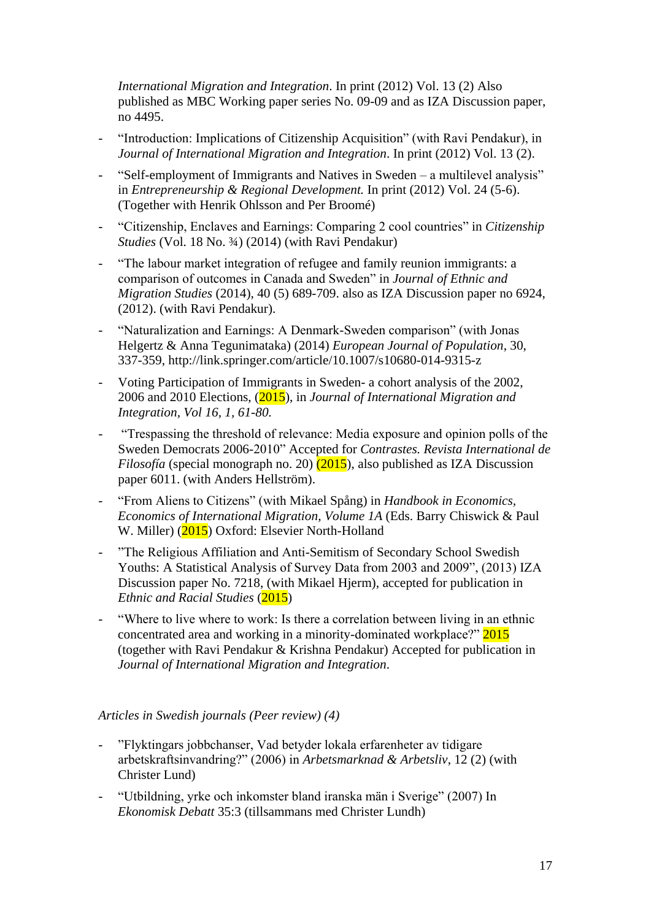*International Migration and Integration*. In print (2012) Vol. 13 (2) Also published as MBC Working paper series No. 09-09 and as IZA Discussion paper, no 4495.

- "Introduction: Implications of Citizenship Acquisition" (with Ravi Pendakur), in *Journal of International Migration and Integration*. In print (2012) Vol. 13 (2).
- "Self-employment of Immigrants and Natives in Sweden a multilevel analysis" in *Entrepreneurship & Regional Development.* In print (2012) Vol. 24 (5-6). (Together with Henrik Ohlsson and Per Broomé)
- "Citizenship, Enclaves and Earnings: Comparing 2 cool countries" in *Citizenship Studies* (Vol. 18 No. 3/4) (2014) (with Ravi Pendakur)
- "The labour market integration of refugee and family reunion immigrants: a comparison of outcomes in Canada and Sweden" in *Journal of Ethnic and Migration Studies* (2014), 40 (5) 689-709. also as IZA Discussion paper no 6924, (2012). (with Ravi Pendakur).
- "Naturalization and Earnings: A Denmark-Sweden comparison" (with Jonas Helgertz & Anna Tegunimataka) (2014) *European Journal of Population*, 30, 337-359, http://link.springer.com/article/10.1007/s10680-014-9315-z
- Voting Participation of Immigrants in Sweden- a cohort analysis of the 2002, 2006 and 2010 Elections, (2015), in *Journal of International Migration and Integration, Vol 16, 1, 61-80.*
- "Trespassing the threshold of relevance: Media exposure and opinion polls of the Sweden Democrats 2006-2010" Accepted for *Contrastes. Revista International de Filosofía* (special monograph no. 20) (2015), also published as IZA Discussion paper 6011. (with Anders Hellström).
- "From Aliens to Citizens" (with Mikael Spång) in *Handbook in Economics, Economics of International Migration, Volume 1A* (Eds. Barry Chiswick & Paul W. Miller) (2015) Oxford: Elsevier North-Holland
- "The Religious Affiliation and Anti-Semitism of Secondary School Swedish Youths: A Statistical Analysis of Survey Data from 2003 and 2009", (2013) IZA Discussion paper No. 7218, (with Mikael Hjerm), accepted for publication in *Ethnic and Racial Studies* (2015)
- "Where to live where to work: Is there a correlation between living in an ethnic concentrated area and working in a minority-dominated workplace?" 2015 (together with Ravi Pendakur & Krishna Pendakur) Accepted for publication in *Journal of International Migration and Integration*.

## *Articles in Swedish journals (Peer review) (4)*

- "Flyktingars jobbchanser, Vad betyder lokala erfarenheter av tidigare arbetskraftsinvandring?" (2006) in *Arbetsmarknad & Arbetsliv*, 12 (2) (with Christer Lund)
- "Utbildning, yrke och inkomster bland iranska män i Sverige" (2007) In *Ekonomisk Debatt* 35:3 (tillsammans med Christer Lundh)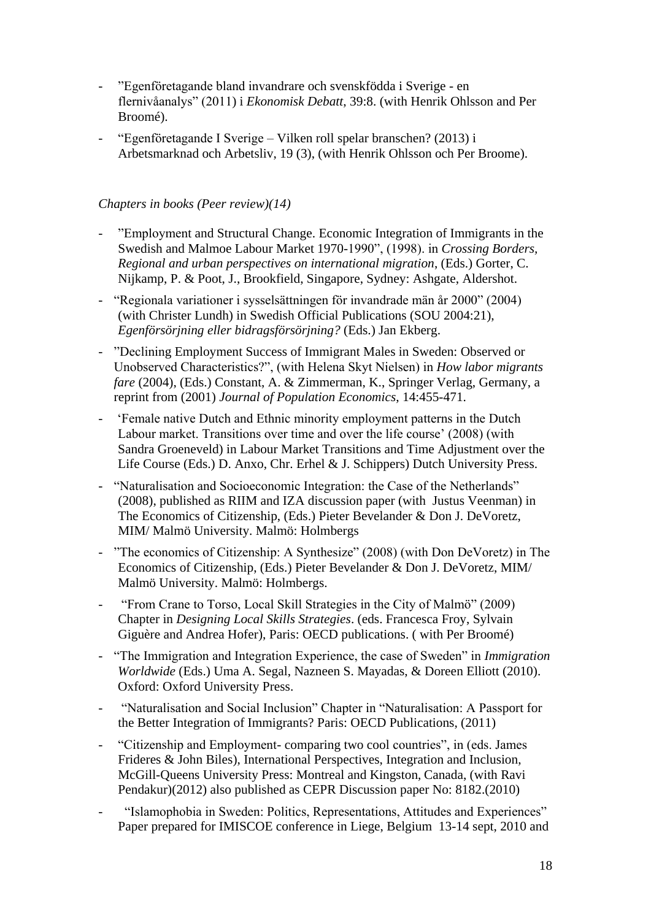- "Egenföretagande bland invandrare och svenskfödda i Sverige en flernivåanalys" (2011) i *Ekonomisk Debatt*, 39:8. (with Henrik Ohlsson and Per Broomé).
- "Egenföretagande I Sverige Vilken roll spelar branschen? (2013) i Arbetsmarknad och Arbetsliv, 19 (3), (with Henrik Ohlsson och Per Broome).

## *Chapters in books (Peer review)(14)*

- "Employment and Structural Change. Economic Integration of Immigrants in the Swedish and Malmoe Labour Market 1970-1990", (1998). in *Crossing Borders, Regional and urban perspectives on international migration*, (Eds.) Gorter, C. Nijkamp, P. & Poot, J., Brookfield, Singapore, Sydney: Ashgate, Aldershot.
- "Regionala variationer i sysselsättningen för invandrade män år 2000" (2004) (with Christer Lundh) in Swedish Official Publications (SOU 2004:21), *Egenförsörjning eller bidragsförsörjning?* (Eds.) Jan Ekberg.
- "Declining Employment Success of Immigrant Males in Sweden: Observed or Unobserved Characteristics?", (with Helena Skyt Nielsen) in *How labor migrants fare* (2004), (Eds.) Constant, A. & Zimmerman, K., Springer Verlag, Germany, a reprint from (2001) *Journal of Population Economics*, 14:455-471.
- 'Female native Dutch and Ethnic minority employment patterns in the Dutch Labour market. Transitions over time and over the life course' (2008) (with Sandra Groeneveld) in Labour Market Transitions and Time Adjustment over the Life Course (Eds.) D. Anxo, Chr. Erhel & J. Schippers) Dutch University Press.
- "Naturalisation and Socioeconomic Integration: the Case of the Netherlands" (2008), published as RIIM and IZA discussion paper (with Justus Veenman) in The Economics of Citizenship, (Eds.) Pieter Bevelander & Don J. DeVoretz, MIM/ Malmö University. Malmö: Holmbergs
- "The economics of Citizenship: A Synthesize" (2008) (with Don DeVoretz) in The Economics of Citizenship, (Eds.) Pieter Bevelander & Don J. DeVoretz, MIM/ Malmö University. Malmö: Holmbergs.
- "From Crane to Torso, Local Skill Strategies in the City of Malmö" (2009) Chapter in *Designing Local Skills Strategies*. (eds. Francesca Froy, Sylvain Giguère and Andrea Hofer), Paris: OECD publications. ( with Per Broomé)
- "The Immigration and Integration Experience, the case of Sweden" in *Immigration Worldwide* (Eds.) Uma A. Segal, Nazneen S. Mayadas, & Doreen Elliott (2010). Oxford: Oxford University Press.
- "Naturalisation and Social Inclusion" Chapter in "Naturalisation: A Passport for the Better Integration of Immigrants? Paris: OECD Publications, (2011)
- "Citizenship and Employment- comparing two cool countries", in (eds. James Frideres & John Biles), International Perspectives, Integration and Inclusion, McGill-Queens University Press: Montreal and Kingston, Canada, (with Ravi Pendakur)(2012) also published as CEPR Discussion paper No: 8182.(2010)
- "Islamophobia in Sweden: Politics, Representations, Attitudes and Experiences" Paper prepared for IMISCOE conference in Liege, Belgium 13-14 sept, 2010 and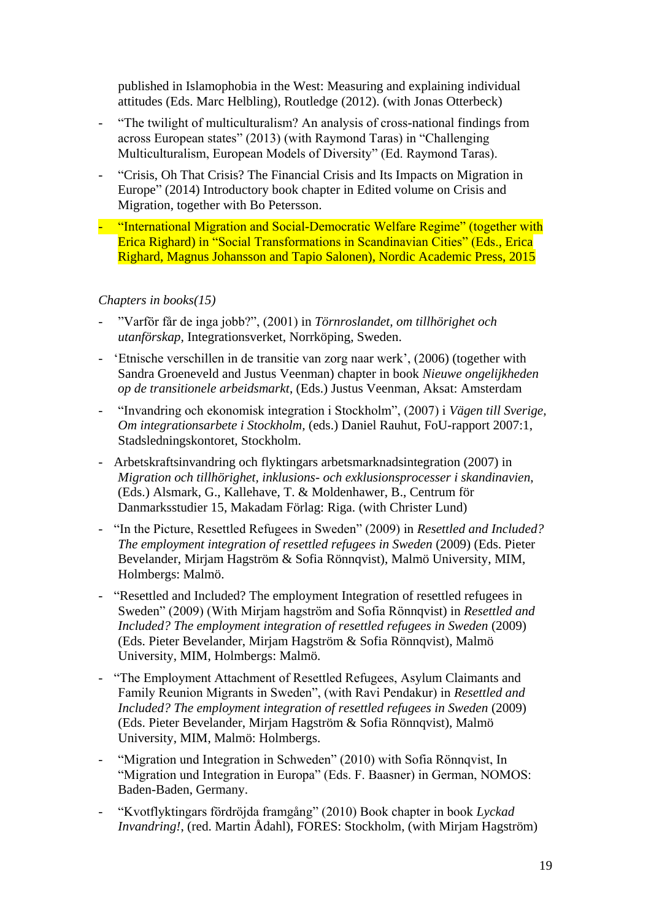published in Islamophobia in the West: Measuring and explaining individual attitudes (Eds. Marc Helbling), Routledge (2012). (with Jonas Otterbeck)

- "The twilight of multiculturalism? An analysis of cross-national findings from across European states" (2013) (with Raymond Taras) in "Challenging Multiculturalism, European Models of Diversity" (Ed. Raymond Taras).
- "Crisis, Oh That Crisis? The Financial Crisis and Its Impacts on Migration in Europe" (2014) Introductory book chapter in Edited volume on Crisis and Migration, together with Bo Petersson.
- "International Migration and Social-Democratic Welfare Regime" (together with Erica Righard) in "Social Transformations in Scandinavian Cities" (Eds., Erica Righard, Magnus Johansson and Tapio Salonen), Nordic Academic Press, 2015

### *Chapters in books(15)*

- "Varför får de inga jobb?", (2001) in *Törnroslandet, om tillhörighet och utanförskap,* Integrationsverket, Norrköping, Sweden.
- 'Etnische verschillen in de transitie van zorg naar werk', (2006) (together with Sandra Groeneveld and Justus Veenman) chapter in book *Nieuwe ongelijkheden op de transitionele arbeidsmarkt*, (Eds.) Justus Veenman, Aksat: Amsterdam
- "Invandring och ekonomisk integration i Stockholm", (2007) i *Vägen till Sverige, Om integrationsarbete i Stockholm,* (eds.) Daniel Rauhut, FoU-rapport 2007:1, Stadsledningskontoret, Stockholm.
- Arbetskraftsinvandring och flyktingars arbetsmarknadsintegration (2007) in *Migration och tillhörighet, inklusions- och exklusionsprocesser i skandinavien*, (Eds.) Alsmark, G., Kallehave, T. & Moldenhawer, B., Centrum för Danmarksstudier 15, Makadam Förlag: Riga. (with Christer Lund)
- "In the Picture, Resettled Refugees in Sweden" (2009) in *Resettled and Included? The employment integration of resettled refugees in Sweden* (2009) (Eds. Pieter Bevelander, Mirjam Hagström & Sofia Rönnqvist), Malmö University, MIM, Holmbergs: Malmö.
- "Resettled and Included? The employment Integration of resettled refugees in Sweden" (2009) (With Mirjam hagström and Sofia Rönnqvist) in *Resettled and Included? The employment integration of resettled refugees in Sweden* (2009) (Eds. Pieter Bevelander, Mirjam Hagström & Sofia Rönnqvist), Malmö University, MIM, Holmbergs: Malmö.
- "The Employment Attachment of Resettled Refugees, Asylum Claimants and Family Reunion Migrants in Sweden", (with Ravi Pendakur) in *Resettled and Included? The employment integration of resettled refugees in Sweden* (2009) (Eds. Pieter Bevelander, Mirjam Hagström & Sofia Rönnqvist), Malmö University, MIM, Malmö: Holmbergs.
- "Migration und Integration in Schweden" (2010) with Sofia Rönnqvist, In "Migration und Integration in Europa" (Eds. F. Baasner) in German, NOMOS: Baden-Baden, Germany.
- "Kvotflyktingars fördröjda framgång" (2010) Book chapter in book *Lyckad Invandring!*, (red. Martin Ådahl), FORES: Stockholm, (with Mirjam Hagström)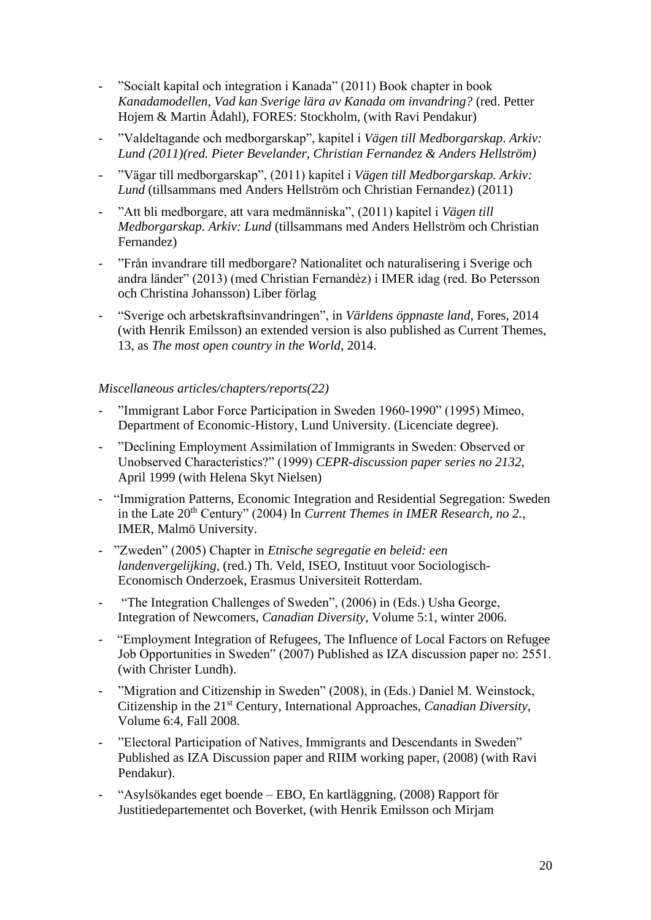- "Socialt kapital och integration i Kanada" (2011) Book chapter in book *Kanadamodellen, Vad kan Sverige lära av Kanada om invandring?* (red. Petter Hojem & Martin Ådahl), FORES: Stockholm, (with Ravi Pendakur)
- "Valdeltagande och medborgarskap", kapitel i *Vägen till Medborgarskap*. *Arkiv: Lund (2011)(red. Pieter Bevelander, Christian Fernandez & Anders Hellström)*
- "Vägar till medborgarskap", (2011) kapitel i *Vägen till Medborgarskap. Arkiv: Lund* (tillsammans med Anders Hellström och Christian Fernandez) (2011)
- "Att bli medborgare, att vara medmänniska", (2011) kapitel i *Vägen till Medborgarskap. Arkiv: Lund* (tillsammans med Anders Hellström och Christian Fernandez)
- "Från invandrare till medborgare? Nationalitet och naturalisering i Sverige och andra länder" (2013) (med Christian Fernandèz) i IMER idag (red. Bo Petersson och Christina Johansson) Liber förlag
- "Sverige och arbetskraftsinvandringen", in *Världens öppnaste land,* Fores, 2014 (with Henrik Emilsson) an extended version is also published as Current Themes, 13, as *The most open country in the World*, 2014.

### *Miscellaneous articles/chapters/reports(22)*

- "Immigrant Labor Force Participation in Sweden 1960-1990" (1995) Mimeo, Department of Economic-History, Lund University. (Licenciate degree).
- "Declining Employment Assimilation of Immigrants in Sweden: Observed or Unobserved Characteristics?" (1999) *CEPR-discussion paper series no 2132,*  April 1999 (with Helena Skyt Nielsen)
- "Immigration Patterns, Economic Integration and Residential Segregation: Sweden in the Late 20th Century" (2004) In *Current Themes in IMER Research, no 2.*, IMER, Malmö University.
- "Zweden" (2005) Chapter in *Etnische segregatie en beleid: een landenvergelijking*, (red.) Th. Veld, ISEO, Instituut voor Sociologisch-Economisch Onderzoek, Erasmus Universiteit Rotterdam.
- "The Integration Challenges of Sweden", (2006) in (Eds.) Usha George, Integration of Newcomers, *Canadian Diversity*, Volume 5:1, winter 2006.
- "Employment Integration of Refugees, The Influence of Local Factors on Refugee Job Opportunities in Sweden" (2007) Published as IZA discussion paper no: 2551. (with Christer Lundh).
- "Migration and Citizenship in Sweden" (2008), in (Eds.) Daniel M. Weinstock, Citizenship in the 21st Century, International Approaches, *Canadian Diversity*, Volume 6:4, Fall 2008.
- "Electoral Participation of Natives, Immigrants and Descendants in Sweden" Published as IZA Discussion paper and RIIM working paper, (2008) (with Ravi Pendakur).
- "Asylsökandes eget boende EBO, En kartläggning, (2008) Rapport för Justitiedepartementet och Boverket, (with Henrik Emilsson och Mirjam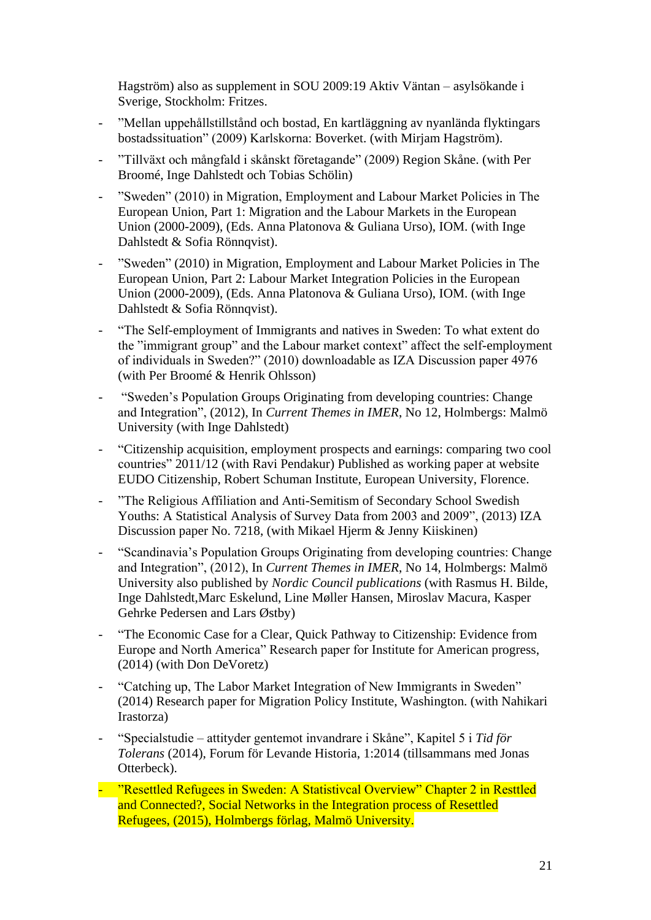Hagström) also as supplement in SOU 2009:19 Aktiv Väntan – asylsökande i Sverige, Stockholm: Fritzes.

- "Mellan uppehållstillstånd och bostad, En kartläggning av nyanlända flyktingars bostadssituation" (2009) Karlskorna: Boverket. (with Mirjam Hagström).
- "Tillväxt och mångfald i skånskt företagande" (2009) Region Skåne. (with Per Broomé, Inge Dahlstedt och Tobias Schölin)
- "Sweden" (2010) in Migration, Employment and Labour Market Policies in The European Union, Part 1: Migration and the Labour Markets in the European Union (2000-2009), (Eds. Anna Platonova & Guliana Urso), IOM. (with Inge Dahlstedt & Sofia Rönnqvist).
- "Sweden" (2010) in Migration, Employment and Labour Market Policies in The European Union, Part 2: Labour Market Integration Policies in the European Union (2000-2009), (Eds. Anna Platonova & Guliana Urso), IOM. (with Inge Dahlstedt & Sofia Rönnqvist).
- "The Self-employment of Immigrants and natives in Sweden: To what extent do the "immigrant group" and the Labour market context" affect the self-employment of individuals in Sweden?" (2010) downloadable as IZA Discussion paper 4976 (with Per Broomé & Henrik Ohlsson)
- "Sweden's Population Groups Originating from developing countries: Change and Integration", (2012), In *Current Themes in IMER*, No 12, Holmbergs: Malmö University (with Inge Dahlstedt)
- "Citizenship acquisition, employment prospects and earnings: comparing two cool countries" 2011/12 (with Ravi Pendakur) Published as working paper at website EUDO Citizenship, Robert Schuman Institute, European University, Florence.
- "The Religious Affiliation and Anti-Semitism of Secondary School Swedish Youths: A Statistical Analysis of Survey Data from 2003 and 2009", (2013) IZA Discussion paper No. 7218, (with Mikael Hjerm & Jenny Kiiskinen)
- "Scandinavia's Population Groups Originating from developing countries: Change and Integration", (2012), In *Current Themes in IMER*, No 14, Holmbergs: Malmö University also published by *Nordic Council publications* (with Rasmus H. Bilde, Inge Dahlstedt,Marc Eskelund, Line Møller Hansen, Miroslav Macura, Kasper Gehrke Pedersen and Lars Østby)
- "The Economic Case for a Clear, Quick Pathway to Citizenship: Evidence from Europe and North America" Research paper for Institute for American progress, (2014) (with Don DeVoretz)
- "Catching up, The Labor Market Integration of New Immigrants in Sweden" (2014) Research paper for Migration Policy Institute, Washington. (with Nahikari Irastorza)
- "Specialstudie attityder gentemot invandrare i Skåne", Kapitel 5 i *Tid för Tolerans* (2014), Forum för Levande Historia, 1:2014 (tillsammans med Jonas Otterbeck).
- "Resettled Refugees in Sweden: A Statistivcal Overview" Chapter 2 in Resttled and Connected?, Social Networks in the Integration process of Resettled Refugees, (2015), Holmbergs förlag, Malmö University.